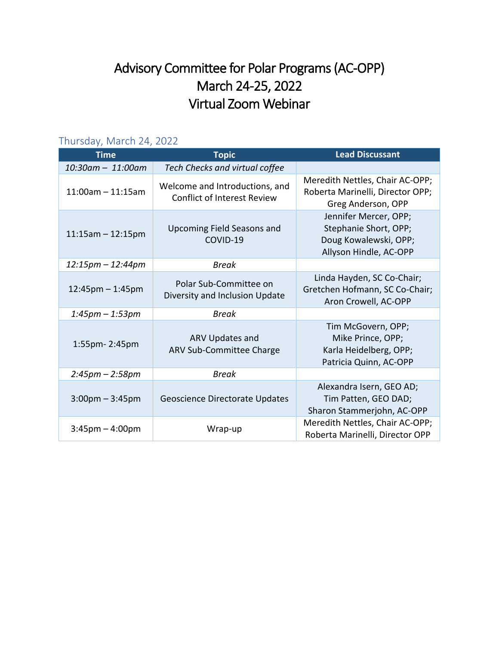## Advisory Committee for Polar Programs (AC-OPP) March 24-25, 2022 Virtual Zoom Webinar

## Thursday, March 24, 2022

| <b>Time</b>            | <b>Topic</b>                                                         | <b>Lead Discussant</b>                                                                            |
|------------------------|----------------------------------------------------------------------|---------------------------------------------------------------------------------------------------|
| 10:30am - 11:00am      | Tech Checks and virtual coffee                                       |                                                                                                   |
| $11:00$ am $-11:15$ am | Welcome and Introductions, and<br><b>Conflict of Interest Review</b> | Meredith Nettles, Chair AC-OPP;<br>Roberta Marinelli, Director OPP;<br>Greg Anderson, OPP         |
| $11:15am - 12:15pm$    | <b>Upcoming Field Seasons and</b><br>COVID-19                        | Jennifer Mercer, OPP;<br>Stephanie Short, OPP;<br>Doug Kowalewski, OPP;<br>Allyson Hindle, AC-OPP |
| 12:15pm - 12:44pm      | <b>Break</b>                                                         |                                                                                                   |
| $12:45$ pm – 1:45pm    | Polar Sub-Committee on<br>Diversity and Inclusion Update             | Linda Hayden, SC Co-Chair;<br>Gretchen Hofmann, SC Co-Chair;<br>Aron Crowell, AC-OPP              |
| $1:45$ pm – $1:53$ pm  | <b>Break</b>                                                         |                                                                                                   |
| 1:55pm-2:45pm          | ARV Updates and<br>ARV Sub-Committee Charge                          | Tim McGovern, OPP;<br>Mike Prince, OPP;<br>Karla Heidelberg, OPP;<br>Patricia Quinn, AC-OPP       |
| $2:45pm - 2:58pm$      | <b>Break</b>                                                         |                                                                                                   |
| $3:00$ pm $-3:45$ pm   | Geoscience Directorate Updates                                       | Alexandra Isern, GEO AD;<br>Tim Patten, GEO DAD;<br>Sharon Stammerjohn, AC-OPP                    |
| $3:45$ pm $-4:00$ pm   | Wrap-up                                                              | Meredith Nettles, Chair AC-OPP;<br>Roberta Marinelli, Director OPP                                |